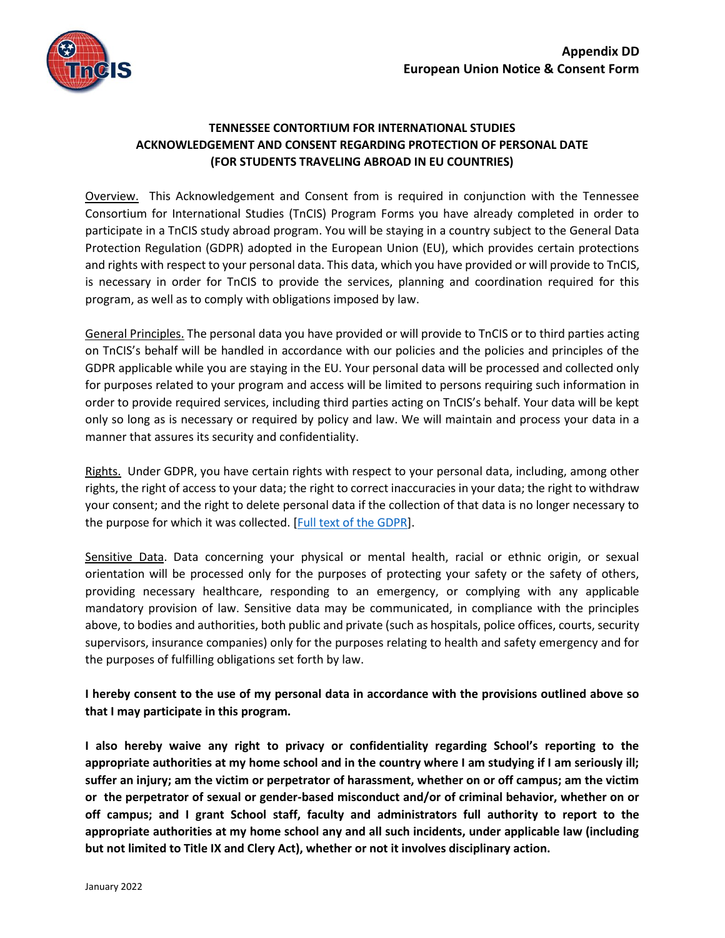

## **TENNESSEE CONTORTIUM FOR INTERNATIONAL STUDIES ACKNOWLEDGEMENT AND CONSENT REGARDING PROTECTION OF PERSONAL DATE (FOR STUDENTS TRAVELING ABROAD IN EU COUNTRIES)**

Overview. This Acknowledgement and Consent from is required in conjunction with the Tennessee Consortium for International Studies (TnCIS) Program Forms you have already completed in order to participate in a TnCIS study abroad program. You will be staying in a country subject to the General Data Protection Regulation (GDPR) adopted in the European Union (EU), which provides certain protections and rights with respect to your personal data. This data, which you have provided or will provide to TnCIS, is necessary in order for TnCIS to provide the services, planning and coordination required for this program, as well as to comply with obligations imposed by law.

General Principles. The personal data you have provided or will provide to TnCIS or to third parties acting on TnCIS's behalf will be handled in accordance with our policies and the policies and principles of the GDPR applicable while you are staying in the EU. Your personal data will be processed and collected only for purposes related to your program and access will be limited to persons requiring such information in order to provide required services, including third parties acting on TnCIS's behalf. Your data will be kept only so long as is necessary or required by policy and law. We will maintain and process your data in a manner that assures its security and confidentiality.

Rights. Under GDPR, you have certain rights with respect to your personal data, including, among other rights, the right of access to your data; the right to correct inaccuracies in your data; the right to withdraw your consent; and the right to delete personal data if the collection of that data is no longer necessary to the purpose for which it was collected. [\[Full text of the GDPR\]](https://gdpr.algolia.com/).

Sensitive Data. Data concerning your physical or mental health, racial or ethnic origin, or sexual orientation will be processed only for the purposes of protecting your safety or the safety of others, providing necessary healthcare, responding to an emergency, or complying with any applicable mandatory provision of law. Sensitive data may be communicated, in compliance with the principles above, to bodies and authorities, both public and private (such as hospitals, police offices, courts, security supervisors, insurance companies) only for the purposes relating to health and safety emergency and for the purposes of fulfilling obligations set forth by law.

## **I hereby consent to the use of my personal data in accordance with the provisions outlined above so that I may participate in this program.**

**I also hereby waive any right to privacy or confidentiality regarding School's reporting to the appropriate authorities at my home school and in the country where I am studying if I am seriously ill; suffer an injury; am the victim or perpetrator of harassment, whether on or off campus; am the victim or the perpetrator of sexual or gender-based misconduct and/or of criminal behavior, whether on or off campus; and I grant School staff, faculty and administrators full authority to report to the appropriate authorities at my home school any and all such incidents, under applicable law (including but not limited to Title IX and Clery Act), whether or not it involves disciplinary action.**